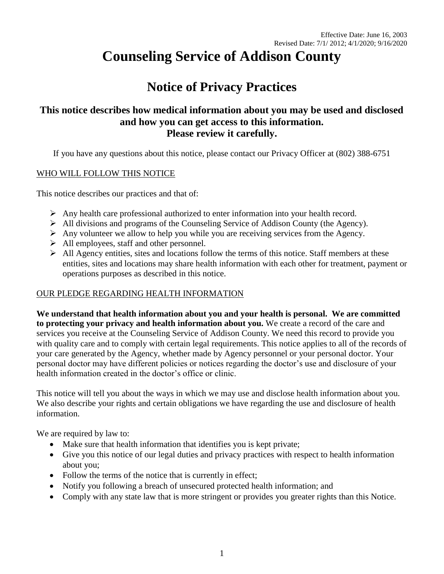# **Counseling Service of Addison County**

# **Notice of Privacy Practices**

# **This notice describes how medical information about you may be used and disclosed and how you can get access to this information. Please review it carefully.**

If you have any questions about this notice, please contact our Privacy Officer at (802) 388-6751

#### WHO WILL FOLLOW THIS NOTICE

This notice describes our practices and that of:

- $\triangleright$  Any health care professional authorized to enter information into your health record.
- All divisions and programs of the Counseling Service of Addison County (the Agency).
- $\triangleright$  Any volunteer we allow to help you while you are receiving services from the Agency.
- $\triangleright$  All employees, staff and other personnel.
- $\triangleright$  All Agency entities, sites and locations follow the terms of this notice. Staff members at these entities, sites and locations may share health information with each other for treatment, payment or operations purposes as described in this notice.

# OUR PLEDGE REGARDING HEALTH INFORMATION

**We understand that health information about you and your health is personal. We are committed to protecting your privacy and health information about you.** We create a record of the care and services you receive at the Counseling Service of Addison County. We need this record to provide you with quality care and to comply with certain legal requirements. This notice applies to all of the records of your care generated by the Agency, whether made by Agency personnel or your personal doctor. Your personal doctor may have different policies or notices regarding the doctor's use and disclosure of your health information created in the doctor's office or clinic.

This notice will tell you about the ways in which we may use and disclose health information about you. We also describe your rights and certain obligations we have regarding the use and disclosure of health information.

We are required by law to:

- Make sure that health information that identifies you is kept private;
- Give you this notice of our legal duties and privacy practices with respect to health information about you;
- Follow the terms of the notice that is currently in effect;
- Notify you following a breach of unsecured protected health information; and
- Comply with any state law that is more stringent or provides you greater rights than this Notice.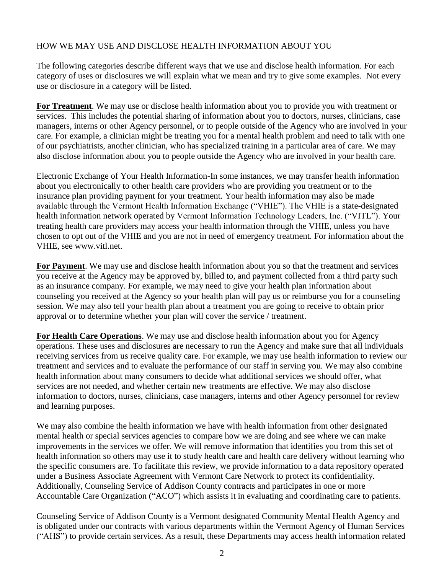#### HOW WE MAY USE AND DISCLOSE HEALTH INFORMATION ABOUT YOU

The following categories describe different ways that we use and disclose health information. For each category of uses or disclosures we will explain what we mean and try to give some examples. Not every use or disclosure in a category will be listed.

**For Treatment**. We may use or disclose health information about you to provide you with treatment or services. This includes the potential sharing of information about you to doctors, nurses, clinicians, case managers, interns or other Agency personnel, or to people outside of the Agency who are involved in your care. For example, a clinician might be treating you for a mental health problem and need to talk with one of our psychiatrists, another clinician, who has specialized training in a particular area of care. We may also disclose information about you to people outside the Agency who are involved in your health care.

Electronic Exchange of Your Health Information-In some instances, we may transfer health information about you electronically to other health care providers who are providing you treatment or to the insurance plan providing payment for your treatment. Your health information may also be made available through the Vermont Health Information Exchange ("VHIE"). The VHIE is a state-designated health information network operated by Vermont Information Technology Leaders, Inc. ("VITL"). Your treating health care providers may access your health information through the VHIE, unless you have chosen to opt out of the VHIE and you are not in need of emergency treatment. For information about the VHIE, see www.vitl.net.

**For Payment**. We may use and disclose health information about you so that the treatment and services you receive at the Agency may be approved by, billed to, and payment collected from a third party such as an insurance company. For example, we may need to give your health plan information about counseling you received at the Agency so your health plan will pay us or reimburse you for a counseling session. We may also tell your health plan about a treatment you are going to receive to obtain prior approval or to determine whether your plan will cover the service / treatment.

**For Health Care Operations**. We may use and disclose health information about you for Agency operations. These uses and disclosures are necessary to run the Agency and make sure that all individuals receiving services from us receive quality care. For example, we may use health information to review our treatment and services and to evaluate the performance of our staff in serving you. We may also combine health information about many consumers to decide what additional services we should offer, what services are not needed, and whether certain new treatments are effective. We may also disclose information to doctors, nurses, clinicians, case managers, interns and other Agency personnel for review and learning purposes.

We may also combine the health information we have with health information from other designated mental health or special services agencies to compare how we are doing and see where we can make improvements in the services we offer. We will remove information that identifies you from this set of health information so others may use it to study health care and health care delivery without learning who the specific consumers are. To facilitate this review, we provide information to a data repository operated under a Business Associate Agreement with Vermont Care Network to protect its confidentiality. Additionally, Counseling Service of Addison County contracts and participates in one or more Accountable Care Organization ("ACO") which assists it in evaluating and coordinating care to patients.

Counseling Service of Addison County is a Vermont designated Community Mental Health Agency and is obligated under our contracts with various departments within the Vermont Agency of Human Services ("AHS") to provide certain services. As a result, these Departments may access health information related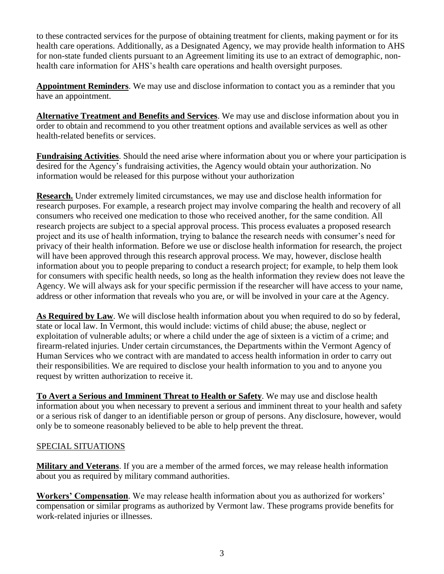to these contracted services for the purpose of obtaining treatment for clients, making payment or for its health care operations. Additionally, as a Designated Agency, we may provide health information to AHS for non-state funded clients pursuant to an Agreement limiting its use to an extract of demographic, nonhealth care information for AHS's health care operations and health oversight purposes.

**Appointment Reminders**. We may use and disclose information to contact you as a reminder that you have an appointment.

**Alternative Treatment and Benefits and Services**. We may use and disclose information about you in order to obtain and recommend to you other treatment options and available services as well as other health-related benefits or services.

**Fundraising Activities**. Should the need arise where information about you or where your participation is desired for the Agency's fundraising activities, the Agency would obtain your authorization. No information would be released for this purpose without your authorization

**Research.** Under extremely limited circumstances, we may use and disclose health information for research purposes. For example, a research project may involve comparing the health and recovery of all consumers who received one medication to those who received another, for the same condition. All research projects are subject to a special approval process. This process evaluates a proposed research project and its use of health information, trying to balance the research needs with consumer's need for privacy of their health information. Before we use or disclose health information for research, the project will have been approved through this research approval process. We may, however, disclose health information about you to people preparing to conduct a research project; for example, to help them look for consumers with specific health needs, so long as the health information they review does not leave the Agency. We will always ask for your specific permission if the researcher will have access to your name, address or other information that reveals who you are, or will be involved in your care at the Agency.

**As Required by Law**. We will disclose health information about you when required to do so by federal, state or local law. In Vermont, this would include: victims of child abuse; the abuse, neglect or exploitation of vulnerable adults; or where a child under the age of sixteen is a victim of a crime; and firearm-related injuries. Under certain circumstances, the Departments within the Vermont Agency of Human Services who we contract with are mandated to access health information in order to carry out their responsibilities. We are required to disclose your health information to you and to anyone you request by written authorization to receive it.

**To Avert a Serious and Imminent Threat to Health or Safety**. We may use and disclose health information about you when necessary to prevent a serious and imminent threat to your health and safety or a serious risk of danger to an identifiable person or group of persons. Any disclosure, however, would only be to someone reasonably believed to be able to help prevent the threat.

# SPECIAL SITUATIONS

**Military and Veterans**. If you are a member of the armed forces, we may release health information about you as required by military command authorities.

**Workers' Compensation**. We may release health information about you as authorized for workers' compensation or similar programs as authorized by Vermont law. These programs provide benefits for work-related injuries or illnesses.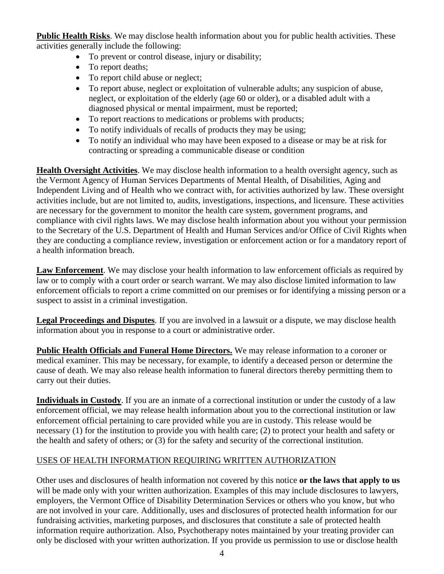**Public Health Risks**. We may disclose health information about you for public health activities. These activities generally include the following:

- To prevent or control disease, injury or disability;
- To report deaths;
- To report child abuse or neglect;
- To report abuse, neglect or exploitation of vulnerable adults; any suspicion of abuse, neglect, or exploitation of the elderly (age 60 or older), or a disabled adult with a diagnosed physical or mental impairment, must be reported;
- To report reactions to medications or problems with products;
- To notify individuals of recalls of products they may be using;
- To notify an individual who may have been exposed to a disease or may be at risk for contracting or spreading a communicable disease or condition

**Health Oversight Activities**. We may disclose health information to a health oversight agency, such as the Vermont Agency of Human Services Departments of Mental Health, of Disabilities, Aging and Independent Living and of Health who we contract with, for activities authorized by law. These oversight activities include, but are not limited to, audits, investigations, inspections, and licensure. These activities are necessary for the government to monitor the health care system, government programs, and compliance with civil rights laws. We may disclose health information about you without your permission to the Secretary of the U.S. Department of Health and Human Services and/or Office of Civil Rights when they are conducting a compliance review, investigation or enforcement action or for a mandatory report of a health information breach.

**Law Enforcement**. We may disclose your health information to law enforcement officials as required by law or to comply with a court order or search warrant. We may also disclose limited information to law enforcement officials to report a crime committed on our premises or for identifying a missing person or a suspect to assist in a criminal investigation.

**Legal Proceedings and Disputes**. If you are involved in a lawsuit or a dispute, we may disclose health information about you in response to a court or administrative order.

**Public Health Officials and Funeral Home Directors.** We may release information to a coroner or medical examiner. This may be necessary, for example, to identify a deceased person or determine the cause of death. We may also release health information to funeral directors thereby permitting them to carry out their duties.

**Individuals in Custody**. If you are an inmate of a correctional institution or under the custody of a law enforcement official, we may release health information about you to the correctional institution or law enforcement official pertaining to care provided while you are in custody. This release would be necessary (1) for the institution to provide you with health care; (2) to protect your health and safety or the health and safety of others; or (3) for the safety and security of the correctional institution.

# USES OF HEALTH INFORMATION REQUIRING WRITTEN AUTHORIZATION

Other uses and disclosures of health information not covered by this notice **or the laws that apply to us** will be made only with your written authorization. Examples of this may include disclosures to lawyers, employers, the Vermont Office of Disability Determination Services or others who you know, but who are not involved in your care. Additionally, uses and disclosures of protected health information for our fundraising activities, marketing purposes, and disclosures that constitute a sale of protected health information require authorization. Also, Psychotherapy notes maintained by your treating provider can only be disclosed with your written authorization. If you provide us permission to use or disclose health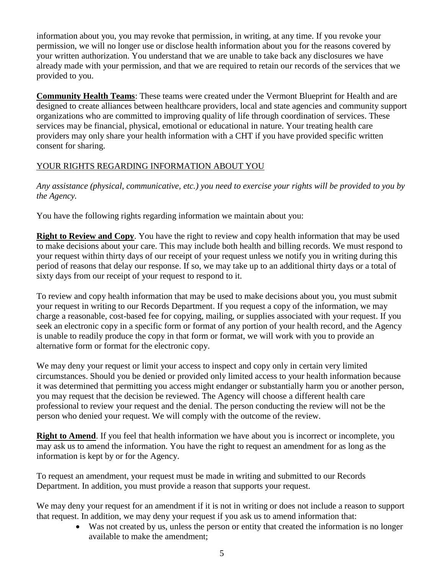information about you, you may revoke that permission, in writing, at any time. If you revoke your permission, we will no longer use or disclose health information about you for the reasons covered by your written authorization. You understand that we are unable to take back any disclosures we have already made with your permission, and that we are required to retain our records of the services that we provided to you.

**Community Health Teams**: These teams were created under the Vermont Blueprint for Health and are designed to create alliances between healthcare providers, local and state agencies and community support organizations who are committed to improving quality of life through coordination of services. These services may be financial, physical, emotional or educational in nature. Your treating health care providers may only share your health information with a CHT if you have provided specific written consent for sharing.

# YOUR RIGHTS REGARDING INFORMATION ABOUT YOU

*Any assistance (physical, communicative, etc.) you need to exercise your rights will be provided to you by the Agency.*

You have the following rights regarding information we maintain about you:

**Right to Review and Copy**. You have the right to review and copy health information that may be used to make decisions about your care. This may include both health and billing records. We must respond to your request within thirty days of our receipt of your request unless we notify you in writing during this period of reasons that delay our response. If so, we may take up to an additional thirty days or a total of sixty days from our receipt of your request to respond to it.

To review and copy health information that may be used to make decisions about you, you must submit your request in writing to our Records Department. If you request a copy of the information, we may charge a reasonable, cost-based fee for copying, mailing, or supplies associated with your request. If you seek an electronic copy in a specific form or format of any portion of your health record, and the Agency is unable to readily produce the copy in that form or format, we will work with you to provide an alternative form or format for the electronic copy.

We may deny your request or limit your access to inspect and copy only in certain very limited circumstances. Should you be denied or provided only limited access to your health information because it was determined that permitting you access might endanger or substantially harm you or another person, you may request that the decision be reviewed. The Agency will choose a different health care professional to review your request and the denial. The person conducting the review will not be the person who denied your request. We will comply with the outcome of the review.

**Right to Amend.** If you feel that health information we have about you is incorrect or incomplete, you may ask us to amend the information. You have the right to request an amendment for as long as the information is kept by or for the Agency.

To request an amendment, your request must be made in writing and submitted to our Records Department. In addition, you must provide a reason that supports your request.

We may deny your request for an amendment if it is not in writing or does not include a reason to support that request. In addition, we may deny your request if you ask us to amend information that:

Was not created by us, unless the person or entity that created the information is no longer available to make the amendment;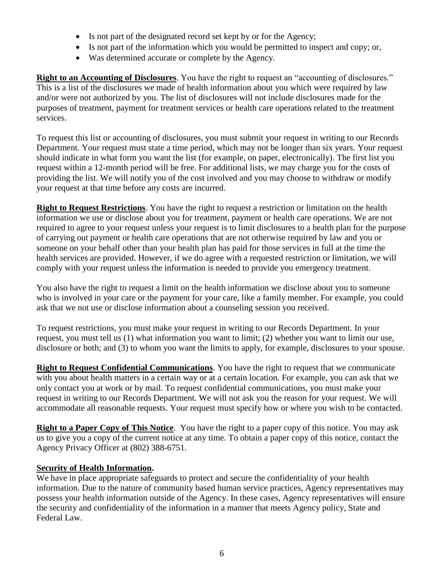- Is not part of the designated record set kept by or for the Agency;
- Is not part of the information which you would be permitted to inspect and copy; or,
- Was determined accurate or complete by the Agency.

**Right to an Accounting of Disclosures**. You have the right to request an "accounting of disclosures." This is a list of the disclosures we made of health information about you which were required by law and/or were not authorized by you. The list of disclosures will not include disclosures made for the purposes of treatment, payment for treatment services or health care operations related to the treatment services.

To request this list or accounting of disclosures, you must submit your request in writing to our Records Department. Your request must state a time period, which may not be longer than six years. Your request should indicate in what form you want the list (for example, on paper, electronically). The first list you request within a 12-month period will be free. For additional lists, we may charge you for the costs of providing the list. We will notify you of the cost involved and you may choose to withdraw or modify your request at that time before any costs are incurred.

**Right to Request Restrictions**. You have the right to request a restriction or limitation on the health information we use or disclose about you for treatment, payment or health care operations. We are not required to agree to your request unless your request is to limit disclosures to a health plan for the purpose of carrying out payment or health care operations that are not otherwise required by law and you or someone on your behalf other than your health plan has paid for those services in full at the time the health services are provided. However, if we do agree with a requested restriction or limitation, we will comply with your request unless the information is needed to provide you emergency treatment.

You also have the right to request a limit on the health information we disclose about you to someone who is involved in your care or the payment for your care, like a family member. For example, you could ask that we not use or disclose information about a counseling session you received.

To request restrictions, you must make your request in writing to our Records Department. In your request, you must tell us (1) what information you want to limit; (2) whether you want to limit our use, disclosure or both; and (3) to whom you want the limits to apply, for example, disclosures to your spouse.

**Right to Request Confidential Communications**. You have the right to request that we communicate with you about health matters in a certain way or at a certain location. For example, you can ask that we only contact you at work or by mail. To request confidential communications, you must make your request in writing to our Records Department. We will not ask you the reason for your request. We will accommodate all reasonable requests. Your request must specify how or where you wish to be contacted.

**Right to a Paper Copy of This Notice**. You have the right to a paper copy of this notice. You may ask us to give you a copy of the current notice at any time. To obtain a paper copy of this notice, contact the Agency Privacy Officer at (802) 388-6751.

#### **Security of Health Information.**

We have in place appropriate safeguards to protect and secure the confidentiality of your health information. Due to the nature of community based human service practices, Agency representatives may possess your health information outside of the Agency. In these cases, Agency representatives will ensure the security and confidentiality of the information in a manner that meets Agency policy, State and Federal Law.